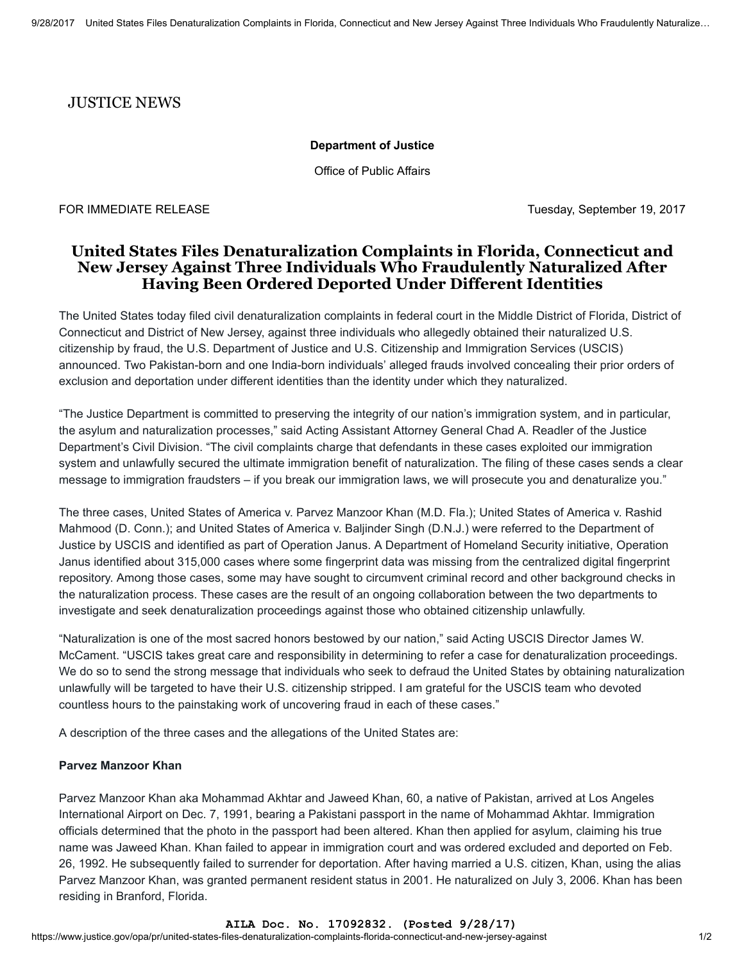## JUSTICE NEWS

### Department of Justice

Office of Public Affairs

FOR IMMEDIATE RELEASE TUESDAY IS A 1999 TUESDAY, September 19, 2017

# United States Files Denaturalization Complaints in Florida, Connecticut and New Jersey Against Three Individuals Who Fraudulently Naturalized After Having Been Ordered Deported Under Different Identities

The United States today filed civil denaturalization complaints in federal court in the Middle District of Florida, District of Connecticut and District of New Jersey, against three individuals who allegedly obtained their naturalized U.S. citizenship by fraud, the U.S. Department of Justice and U.S. Citizenship and Immigration Services (USCIS) announced. Two Pakistan-born and one India-born individuals' alleged frauds involved concealing their prior orders of exclusion and deportation under different identities than the identity under which they naturalized.

"The Justice Department is committed to preserving the integrity of our nation's immigration system, and in particular, the asylum and naturalization processes," said Acting Assistant Attorney General Chad A. Readler of the Justice Department's Civil Division. "The civil complaints charge that defendants in these cases exploited our immigration system and unlawfully secured the ultimate immigration benefit of naturalization. The filing of these cases sends a clear message to immigration fraudsters – if you break our immigration laws, we will prosecute you and denaturalize you."

The three cases, United States of America v. Parvez Manzoor Khan (M.D. Fla.); United States of America v. Rashid Mahmood (D. Conn.); and United States of America v. Baljinder Singh (D.N.J.) were referred to the Department of Justice by USCIS and identified as part of Operation Janus. A Department of Homeland Security initiative, Operation Janus identified about 315,000 cases where some fingerprint data was missing from the centralized digital fingerprint repository. Among those cases, some may have sought to circumvent criminal record and other background checks in the naturalization process. These cases are the result of an ongoing collaboration between the two departments to investigate and seek denaturalization proceedings against those who obtained citizenship unlawfully.

"Naturalization is one of the most sacred honors bestowed by our nation," said Acting USCIS Director James W. McCament. "USCIS takes great care and responsibility in determining to refer a case for denaturalization proceedings. We do so to send the strong message that individuals who seek to defraud the United States by obtaining naturalization unlawfully will be targeted to have their U.S. citizenship stripped. I am grateful for the USCIS team who devoted countless hours to the painstaking work of uncovering fraud in each of these cases."

A description of the three cases and the allegations of the United States are:

## Parvez Manzoor Khan

Parvez Manzoor Khan aka Mohammad Akhtar and Jaweed Khan, 60, a native of Pakistan, arrived at Los Angeles International Airport on Dec. 7, 1991, bearing a Pakistani passport in the name of Mohammad Akhtar. Immigration officials determined that the photo in the passport had been altered. Khan then applied for asylum, claiming his true name was Jaweed Khan. Khan failed to appear in immigration court and was ordered excluded and deported on Feb. 26, 1992. He subsequently failed to surrender for deportation. After having married a U.S. citizen, Khan, using the alias Parvez Manzoor Khan, was granted permanent resident status in 2001. He naturalized on July 3, 2006. Khan has been residing in Branford, Florida.